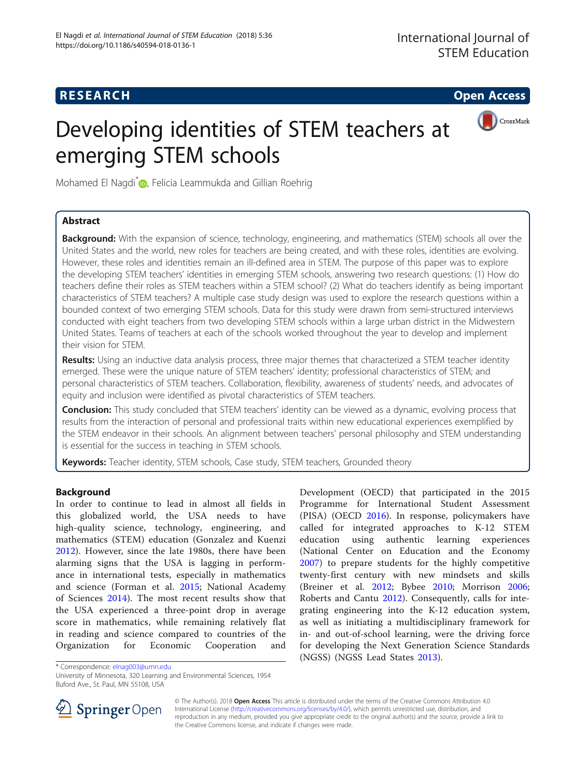# **RESEARCH RESEARCH CONSUMING ACCESS**



# Developing identities of STEM teachers at emerging STEM schools

Mohamed El Nagdi<sup>\*</sup> [,](http://orcid.org/0000-0001-7787-0870) Felicia Leammukda and Gillian Roehrig

# Abstract

Background: With the expansion of science, technology, engineering, and mathematics (STEM) schools all over the United States and the world, new roles for teachers are being created, and with these roles, identities are evolving. However, these roles and identities remain an ill-defined area in STEM. The purpose of this paper was to explore the developing STEM teachers' identities in emerging STEM schools, answering two research questions: (1) How do teachers define their roles as STEM teachers within a STEM school? (2) What do teachers identify as being important characteristics of STEM teachers? A multiple case study design was used to explore the research questions within a bounded context of two emerging STEM schools. Data for this study were drawn from semi-structured interviews conducted with eight teachers from two developing STEM schools within a large urban district in the Midwestern United States. Teams of teachers at each of the schools worked throughout the year to develop and implement their vision for STEM.

Results: Using an inductive data analysis process, three major themes that characterized a STEM teacher identity emerged. These were the unique nature of STEM teachers' identity; professional characteristics of STEM; and personal characteristics of STEM teachers. Collaboration, flexibility, awareness of students' needs, and advocates of equity and inclusion were identified as pivotal characteristics of STEM teachers.

**Conclusion:** This study concluded that STEM teachers' identity can be viewed as a dynamic, evolving process that results from the interaction of personal and professional traits within new educational experiences exemplified by the STEM endeavor in their schools. An alignment between teachers' personal philosophy and STEM understanding is essential for the success in teaching in STEM schools.

Keywords: Teacher identity, STEM schools, Case study, STEM teachers, Grounded theory

## Background

In order to continue to lead in almost all fields in this globalized world, the USA needs to have high-quality science, technology, engineering, and mathematics (STEM) education (Gonzalez and Kuenzi [2012\)](#page-11-0). However, since the late 1980s, there have been alarming signs that the USA is lagging in performance in international tests, especially in mathematics and science (Forman et al. [2015;](#page-11-0) National Academy of Sciences [2014](#page-11-0)). The most recent results show that the USA experienced a three-point drop in average score in mathematics, while remaining relatively flat in reading and science compared to countries of the Organization for Economic Cooperation and

Development (OECD) that participated in the 2015 Programme for International Student Assessment (PISA) (OECD [2016\)](#page-11-0). In response, policymakers have called for integrated approaches to K-12 STEM education using authentic learning experiences (National Center on Education and the Economy [2007\)](#page-11-0) to prepare students for the highly competitive twenty-first century with new mindsets and skills (Breiner et al. [2012](#page-11-0); Bybee [2010](#page-11-0); Morrison [2006](#page-11-0); Roberts and Cantu [2012\)](#page-12-0). Consequently, calls for integrating engineering into the K-12 education system, as well as initiating a multidisciplinary framework for in- and out-of-school learning, were the driving force for developing the Next Generation Science Standards (NGSS) (NGSS Lead States [2013\)](#page-11-0).

University of Minnesota, 320 Learning and Environmental Sciences, 1954 Buford Ave., St. Paul, MN 55108, USA



© The Author(s). 2018 Open Access This article is distributed under the terms of the Creative Commons Attribution 4.0 International License ([http://creativecommons.org/licenses/by/4.0/\)](http://creativecommons.org/licenses/by/4.0/), which permits unrestricted use, distribution, and reproduction in any medium, provided you give appropriate credit to the original author(s) and the source, provide a link to the Creative Commons license, and indicate if changes were made.

<sup>\*</sup> Correspondence: [elnag003@umn.edu](mailto:elnag003@umn.edu)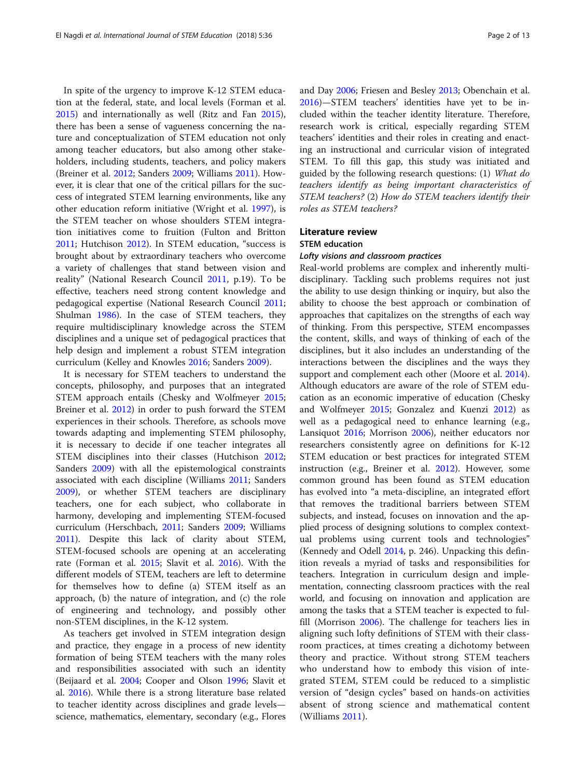In spite of the urgency to improve K-12 STEM education at the federal, state, and local levels (Forman et al. [2015](#page-11-0)) and internationally as well (Ritz and Fan [2015](#page-12-0)), there has been a sense of vagueness concerning the nature and conceptualization of STEM education not only among teacher educators, but also among other stakeholders, including students, teachers, and policy makers (Breiner et al. [2012](#page-11-0); Sanders [2009;](#page-12-0) Williams [2011](#page-12-0)). However, it is clear that one of the critical pillars for the success of integrated STEM learning environments, like any other education reform initiative (Wright et al. [1997](#page-12-0)), is the STEM teacher on whose shoulders STEM integration initiatives come to fruition (Fulton and Britton [2011](#page-11-0); Hutchison [2012\)](#page-11-0). In STEM education, "success is brought about by extraordinary teachers who overcome a variety of challenges that stand between vision and reality" (National Research Council [2011,](#page-11-0) p.19). To be effective, teachers need strong content knowledge and pedagogical expertise (National Research Council [2011](#page-11-0); Shulman [1986](#page-12-0)). In the case of STEM teachers, they require multidisciplinary knowledge across the STEM disciplines and a unique set of pedagogical practices that help design and implement a robust STEM integration curriculum (Kelley and Knowles [2016](#page-11-0); Sanders [2009\)](#page-12-0).

It is necessary for STEM teachers to understand the concepts, philosophy, and purposes that an integrated STEM approach entails (Chesky and Wolfmeyer [2015](#page-11-0); Breiner et al. [2012\)](#page-11-0) in order to push forward the STEM experiences in their schools. Therefore, as schools move towards adapting and implementing STEM philosophy, it is necessary to decide if one teacher integrates all STEM disciplines into their classes (Hutchison [2012](#page-11-0); Sanders [2009](#page-12-0)) with all the epistemological constraints associated with each discipline (Williams [2011](#page-12-0); Sanders [2009](#page-12-0)), or whether STEM teachers are disciplinary teachers, one for each subject, who collaborate in harmony, developing and implementing STEM-focused curriculum (Herschbach, [2011;](#page-11-0) Sanders [2009](#page-12-0); Williams [2011](#page-12-0)). Despite this lack of clarity about STEM, STEM-focused schools are opening at an accelerating rate (Forman et al. [2015;](#page-11-0) Slavit et al. [2016\)](#page-12-0). With the different models of STEM, teachers are left to determine for themselves how to define (a) STEM itself as an approach, (b) the nature of integration, and (c) the role of engineering and technology, and possibly other non-STEM disciplines, in the K-12 system.

As teachers get involved in STEM integration design and practice, they engage in a process of new identity formation of being STEM teachers with the many roles and responsibilities associated with such an identity (Beijaard et al. [2004;](#page-11-0) Cooper and Olson [1996](#page-11-0); Slavit et al. [2016](#page-12-0)). While there is a strong literature base related to teacher identity across disciplines and grade levels science, mathematics, elementary, secondary (e.g., Flores and Day [2006;](#page-11-0) Friesen and Besley [2013;](#page-11-0) Obenchain et al. [2016](#page-11-0))—STEM teachers' identities have yet to be included within the teacher identity literature. Therefore, research work is critical, especially regarding STEM teachers' identities and their roles in creating and enacting an instructional and curricular vision of integrated STEM. To fill this gap, this study was initiated and guided by the following research questions: (1) What do teachers identify as being important characteristics of STEM teachers? (2) How do STEM teachers identify their roles as STEM teachers?

#### Literature review

#### STEM education

#### Lofty visions and classroom practices

Real-world problems are complex and inherently multidisciplinary. Tackling such problems requires not just the ability to use design thinking or inquiry, but also the ability to choose the best approach or combination of approaches that capitalizes on the strengths of each way of thinking. From this perspective, STEM encompasses the content, skills, and ways of thinking of each of the disciplines, but it also includes an understanding of the interactions between the disciplines and the ways they support and complement each other (Moore et al. [2014](#page-11-0)). Although educators are aware of the role of STEM education as an economic imperative of education (Chesky and Wolfmeyer [2015;](#page-11-0) Gonzalez and Kuenzi [2012\)](#page-11-0) as well as a pedagogical need to enhance learning (e.g., Lansiquot [2016](#page-11-0); Morrison [2006\)](#page-11-0), neither educators nor researchers consistently agree on definitions for K-12 STEM education or best practices for integrated STEM instruction (e.g., Breiner et al. [2012](#page-11-0)). However, some common ground has been found as STEM education has evolved into "a meta-discipline, an integrated effort that removes the traditional barriers between STEM subjects, and instead, focuses on innovation and the applied process of designing solutions to complex contextual problems using current tools and technologies" (Kennedy and Odell [2014](#page-11-0), p. 246). Unpacking this definition reveals a myriad of tasks and responsibilities for teachers. Integration in curriculum design and implementation, connecting classroom practices with the real world, and focusing on innovation and application are among the tasks that a STEM teacher is expected to fulfill (Morrison [2006](#page-11-0)). The challenge for teachers lies in aligning such lofty definitions of STEM with their classroom practices, at times creating a dichotomy between theory and practice. Without strong STEM teachers who understand how to embody this vision of integrated STEM, STEM could be reduced to a simplistic version of "design cycles" based on hands-on activities absent of strong science and mathematical content (Williams [2011](#page-12-0)).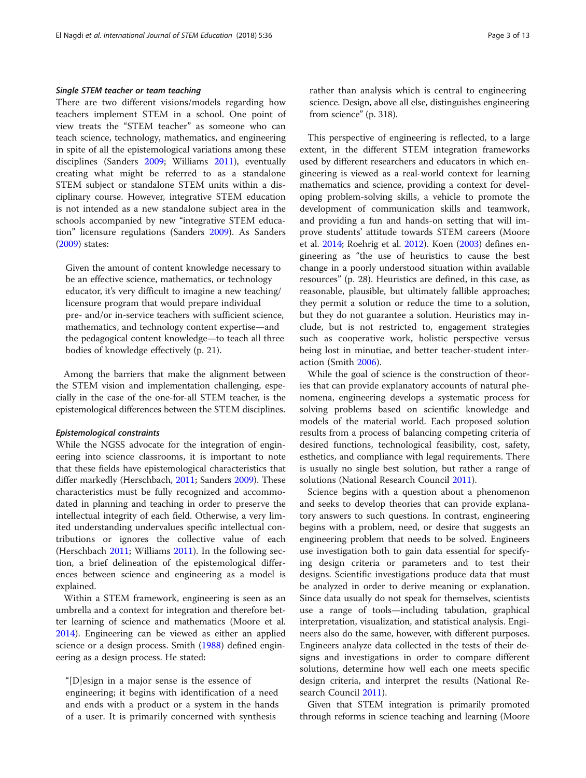## Single STEM teacher or team teaching

There are two different visions/models regarding how teachers implement STEM in a school. One point of view treats the "STEM teacher" as someone who can teach science, technology, mathematics, and engineering in spite of all the epistemological variations among these disciplines (Sanders [2009;](#page-12-0) Williams [2011\)](#page-12-0), eventually creating what might be referred to as a standalone STEM subject or standalone STEM units within a disciplinary course. However, integrative STEM education is not intended as a new standalone subject area in the schools accompanied by new "integrative STEM education" licensure regulations (Sanders [2009\)](#page-12-0). As Sanders ([2009](#page-12-0)) states:

Given the amount of content knowledge necessary to be an effective science, mathematics, or technology educator, it's very difficult to imagine a new teaching/ licensure program that would prepare individual pre- and/or in-service teachers with sufficient science, mathematics, and technology content expertise—and the pedagogical content knowledge—to teach all three bodies of knowledge effectively (p. 21).

Among the barriers that make the alignment between the STEM vision and implementation challenging, especially in the case of the one-for-all STEM teacher, is the epistemological differences between the STEM disciplines.

## Epistemological constraints

While the NGSS advocate for the integration of engineering into science classrooms, it is important to note that these fields have epistemological characteristics that differ markedly (Herschbach, [2011](#page-11-0); Sanders [2009\)](#page-12-0). These characteristics must be fully recognized and accommodated in planning and teaching in order to preserve the intellectual integrity of each field. Otherwise, a very limited understanding undervalues specific intellectual contributions or ignores the collective value of each (Herschbach [2011](#page-11-0); Williams [2011](#page-12-0)). In the following section, a brief delineation of the epistemological differences between science and engineering as a model is explained.

Within a STEM framework, engineering is seen as an umbrella and a context for integration and therefore better learning of science and mathematics (Moore et al. [2014](#page-11-0)). Engineering can be viewed as either an applied science or a design process. Smith ([1988\)](#page-12-0) defined engineering as a design process. He stated:

"[D]esign in a major sense is the essence of engineering; it begins with identification of a need and ends with a product or a system in the hands of a user. It is primarily concerned with synthesis

rather than analysis which is central to engineering science. Design, above all else, distinguishes engineering from science" (p. 318).

This perspective of engineering is reflected, to a large extent, in the different STEM integration frameworks used by different researchers and educators in which engineering is viewed as a real-world context for learning mathematics and science, providing a context for developing problem-solving skills, a vehicle to promote the development of communication skills and teamwork, and providing a fun and hands-on setting that will improve students' attitude towards STEM careers (Moore et al. [2014;](#page-11-0) Roehrig et al. [2012\)](#page-12-0). Koen [\(2003\)](#page-11-0) defines engineering as "the use of heuristics to cause the best change in a poorly understood situation within available resources" (p. 28). Heuristics are defined, in this case, as reasonable, plausible, but ultimately fallible approaches; they permit a solution or reduce the time to a solution, but they do not guarantee a solution. Heuristics may include, but is not restricted to, engagement strategies such as cooperative work, holistic perspective versus being lost in minutiae, and better teacher-student interaction (Smith [2006\)](#page-12-0).

While the goal of science is the construction of theories that can provide explanatory accounts of natural phenomena, engineering develops a systematic process for solving problems based on scientific knowledge and models of the material world. Each proposed solution results from a process of balancing competing criteria of desired functions, technological feasibility, cost, safety, esthetics, and compliance with legal requirements. There is usually no single best solution, but rather a range of solutions (National Research Council [2011\)](#page-11-0).

Science begins with a question about a phenomenon and seeks to develop theories that can provide explanatory answers to such questions. In contrast, engineering begins with a problem, need, or desire that suggests an engineering problem that needs to be solved. Engineers use investigation both to gain data essential for specifying design criteria or parameters and to test their designs. Scientific investigations produce data that must be analyzed in order to derive meaning or explanation. Since data usually do not speak for themselves, scientists use a range of tools—including tabulation, graphical interpretation, visualization, and statistical analysis. Engineers also do the same, however, with different purposes. Engineers analyze data collected in the tests of their designs and investigations in order to compare different solutions, determine how well each one meets specific design criteria, and interpret the results (National Research Council [2011](#page-11-0)).

Given that STEM integration is primarily promoted through reforms in science teaching and learning (Moore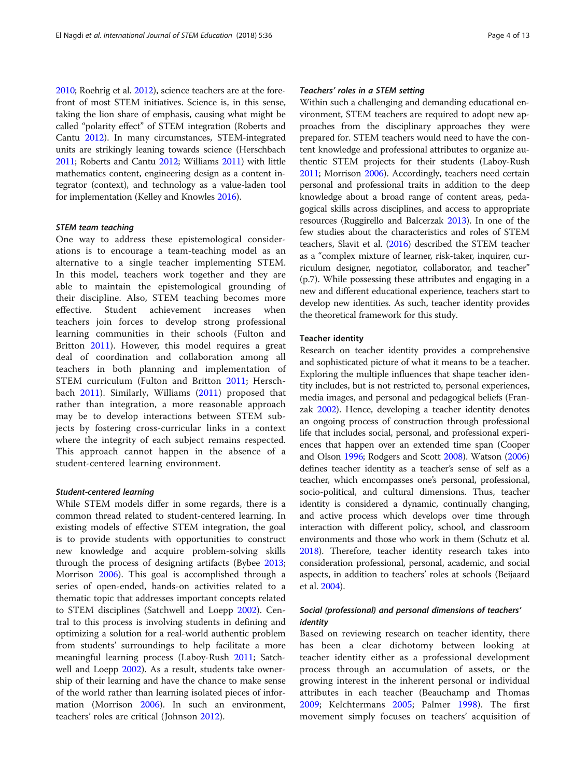[2010;](#page-11-0) Roehrig et al. [2012\)](#page-12-0), science teachers are at the forefront of most STEM initiatives. Science is, in this sense, taking the lion share of emphasis, causing what might be called "polarity effect" of STEM integration (Roberts and Cantu [2012\)](#page-12-0). In many circumstances, STEM-integrated units are strikingly leaning towards science (Herschbach [2011;](#page-11-0) Roberts and Cantu [2012](#page-12-0); Williams [2011](#page-12-0)) with little mathematics content, engineering design as a content integrator (context), and technology as a value-laden tool for implementation (Kelley and Knowles [2016](#page-11-0)).

#### STEM team teaching

One way to address these epistemological considerations is to encourage a team-teaching model as an alternative to a single teacher implementing STEM. In this model, teachers work together and they are able to maintain the epistemological grounding of their discipline. Also, STEM teaching becomes more effective. Student achievement increases when teachers join forces to develop strong professional learning communities in their schools (Fulton and Britton [2011\)](#page-11-0). However, this model requires a great deal of coordination and collaboration among all teachers in both planning and implementation of STEM curriculum (Fulton and Britton [2011](#page-11-0); Herschbach [2011](#page-11-0)). Similarly, Williams ([2011](#page-12-0)) proposed that rather than integration, a more reasonable approach may be to develop interactions between STEM subjects by fostering cross-curricular links in a context where the integrity of each subject remains respected. This approach cannot happen in the absence of a student-centered learning environment.

#### Student-centered learning

While STEM models differ in some regards, there is a common thread related to student-centered learning. In existing models of effective STEM integration, the goal is to provide students with opportunities to construct new knowledge and acquire problem-solving skills through the process of designing artifacts (Bybee [2013](#page-11-0); Morrison [2006](#page-11-0)). This goal is accomplished through a series of open-ended, hands-on activities related to a thematic topic that addresses important concepts related to STEM disciplines (Satchwell and Loepp [2002\)](#page-12-0). Central to this process is involving students in defining and optimizing a solution for a real-world authentic problem from students' surroundings to help facilitate a more meaningful learning process (Laboy-Rush [2011;](#page-11-0) Satchwell and Loepp [2002\)](#page-12-0). As a result, students take ownership of their learning and have the chance to make sense of the world rather than learning isolated pieces of information (Morrison [2006](#page-11-0)). In such an environment, teachers' roles are critical (Johnson [2012](#page-11-0)).

## Teachers' roles in a STEM setting

Within such a challenging and demanding educational environment, STEM teachers are required to adopt new approaches from the disciplinary approaches they were prepared for. STEM teachers would need to have the content knowledge and professional attributes to organize authentic STEM projects for their students (Laboy-Rush [2011;](#page-11-0) Morrison [2006\)](#page-11-0). Accordingly, teachers need certain personal and professional traits in addition to the deep knowledge about a broad range of content areas, pedagogical skills across disciplines, and access to appropriate resources (Ruggirello and Balcerzak [2013](#page-12-0)). In one of the few studies about the characteristics and roles of STEM teachers, Slavit et al. ([2016\)](#page-12-0) described the STEM teacher as a "complex mixture of learner, risk-taker, inquirer, curriculum designer, negotiator, collaborator, and teacher" (p.7). While possessing these attributes and engaging in a new and different educational experience, teachers start to develop new identities. As such, teacher identity provides the theoretical framework for this study.

#### Teacher identity

Research on teacher identity provides a comprehensive and sophisticated picture of what it means to be a teacher. Exploring the multiple influences that shape teacher identity includes, but is not restricted to, personal experiences, media images, and personal and pedagogical beliefs (Franzak [2002\)](#page-11-0). Hence, developing a teacher identity denotes an ongoing process of construction through professional life that includes social, personal, and professional experiences that happen over an extended time span (Cooper and Olson [1996](#page-11-0); Rodgers and Scott [2008](#page-12-0)). Watson [\(2006](#page-12-0)) defines teacher identity as a teacher's sense of self as a teacher, which encompasses one's personal, professional, socio-political, and cultural dimensions. Thus, teacher identity is considered a dynamic, continually changing, and active process which develops over time through interaction with different policy, school, and classroom environments and those who work in them (Schutz et al. [2018\)](#page-12-0). Therefore, teacher identity research takes into consideration professional, personal, academic, and social aspects, in addition to teachers' roles at schools (Beijaard et al. [2004](#page-11-0)).

## Social (professional) and personal dimensions of teachers' identity

Based on reviewing research on teacher identity, there has been a clear dichotomy between looking at teacher identity either as a professional development process through an accumulation of assets, or the growing interest in the inherent personal or individual attributes in each teacher (Beauchamp and Thomas [2009;](#page-11-0) Kelchtermans [2005](#page-11-0); Palmer [1998](#page-11-0)). The first movement simply focuses on teachers' acquisition of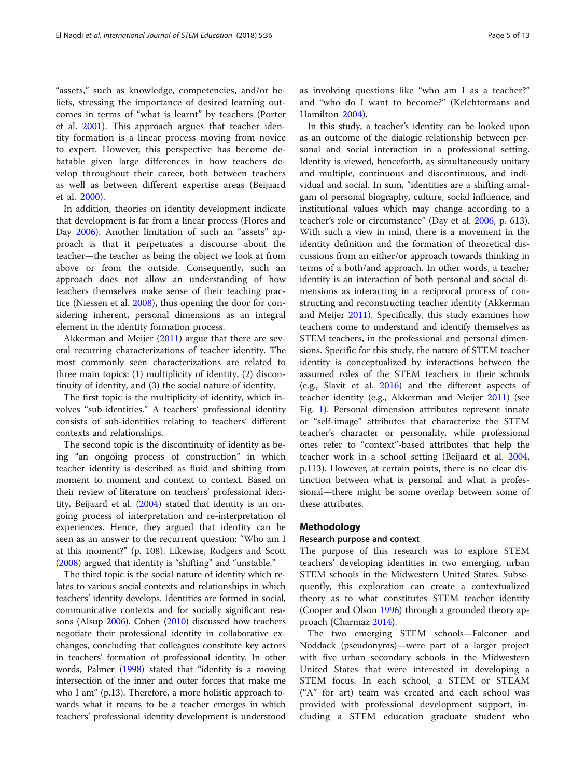"assets," such as knowledge, competencies, and/or beliefs, stressing the importance of desired learning outcomes in terms of "what is learnt" by teachers (Porter et al. [2001\)](#page-12-0). This approach argues that teacher identity formation is a linear process moving from novice to expert. However, this perspective has become debatable given large differences in how teachers develop throughout their career, both between teachers as well as between different expertise areas (Beijaard et al. [2000\)](#page-11-0).

In addition, theories on identity development indicate that development is far from a linear process (Flores and Day [2006](#page-11-0)). Another limitation of such an "assets" approach is that it perpetuates a discourse about the teacher—the teacher as being the object we look at from above or from the outside. Consequently, such an approach does not allow an understanding of how teachers themselves make sense of their teaching practice (Niessen et al. [2008\)](#page-11-0), thus opening the door for considering inherent, personal dimensions as an integral element in the identity formation process.

Akkerman and Meijer [\(2011](#page-11-0)) argue that there are several recurring characterizations of teacher identity. The most commonly seen characterizations are related to three main topics: (1) multiplicity of identity, (2) discontinuity of identity, and (3) the social nature of identity.

The first topic is the multiplicity of identity, which involves "sub-identities." A teachers' professional identity consists of sub-identities relating to teachers' different contexts and relationships.

The second topic is the discontinuity of identity as being "an ongoing process of construction" in which teacher identity is described as fluid and shifting from moment to moment and context to context. Based on their review of literature on teachers' professional identity, Beijaard et al. ([2004](#page-11-0)) stated that identity is an ongoing process of interpretation and re-interpretation of experiences. Hence, they argued that identity can be seen as an answer to the recurrent question: "Who am I at this moment?" (p. 108). Likewise, Rodgers and Scott ([2008](#page-12-0)) argued that identity is "shifting" and "unstable."

The third topic is the social nature of identity which relates to various social contexts and relationships in which teachers' identity develops. Identities are formed in social, communicative contexts and for socially significant reasons (Alsup [2006\)](#page-11-0). Cohen ([2010\)](#page-11-0) discussed how teachers negotiate their professional identity in collaborative exchanges, concluding that colleagues constitute key actors in teachers' formation of professional identity. In other words, Palmer [\(1998\)](#page-11-0) stated that "identity is a moving intersection of the inner and outer forces that make me who I am" (p.13). Therefore, a more holistic approach towards what it means to be a teacher emerges in which teachers' professional identity development is understood

as involving questions like "who am I as a teacher?" and "who do I want to become?" (Kelchtermans and Hamilton [2004](#page-11-0)).

In this study, a teacher's identity can be looked upon as an outcome of the dialogic relationship between personal and social interaction in a professional setting. Identity is viewed, henceforth, as simultaneously unitary and multiple, continuous and discontinuous, and individual and social. In sum, "identities are a shifting amalgam of personal biography, culture, social influence, and institutional values which may change according to a teacher's role or circumstance" (Day et al. [2006](#page-11-0), p. 613). With such a view in mind, there is a movement in the identity definition and the formation of theoretical discussions from an either/or approach towards thinking in terms of a both/and approach. In other words, a teacher identity is an interaction of both personal and social dimensions as interacting in a reciprocal process of constructing and reconstructing teacher identity (Akkerman and Meijer [2011\)](#page-11-0). Specifically, this study examines how teachers come to understand and identify themselves as STEM teachers, in the professional and personal dimensions. Specific for this study, the nature of STEM teacher identity is conceptualized by interactions between the assumed roles of the STEM teachers in their schools (e.g., Slavit et al. [2016\)](#page-12-0) and the different aspects of teacher identity (e.g., Akkerman and Meijer [2011](#page-11-0)) (see Fig. [1](#page-5-0)). Personal dimension attributes represent innate or "self-image" attributes that characterize the STEM teacher's character or personality, while professional ones refer to "context"-based attributes that help the teacher work in a school setting (Beijaard et al. [2004](#page-11-0), p.113). However, at certain points, there is no clear distinction between what is personal and what is professional—there might be some overlap between some of these attributes.

#### Methodology

#### Research purpose and context

The purpose of this research was to explore STEM teachers' developing identities in two emerging, urban STEM schools in the Midwestern United States. Subsequently, this exploration can create a contextualized theory as to what constitutes STEM teacher identity (Cooper and Olson [1996\)](#page-11-0) through a grounded theory approach (Charmaz [2014](#page-11-0)).

The two emerging STEM schools—Falconer and Noddack (pseudonyms)—were part of a larger project with five urban secondary schools in the Midwestern United States that were interested in developing a STEM focus. In each school, a STEM or STEAM ("A" for art) team was created and each school was provided with professional development support, including a STEM education graduate student who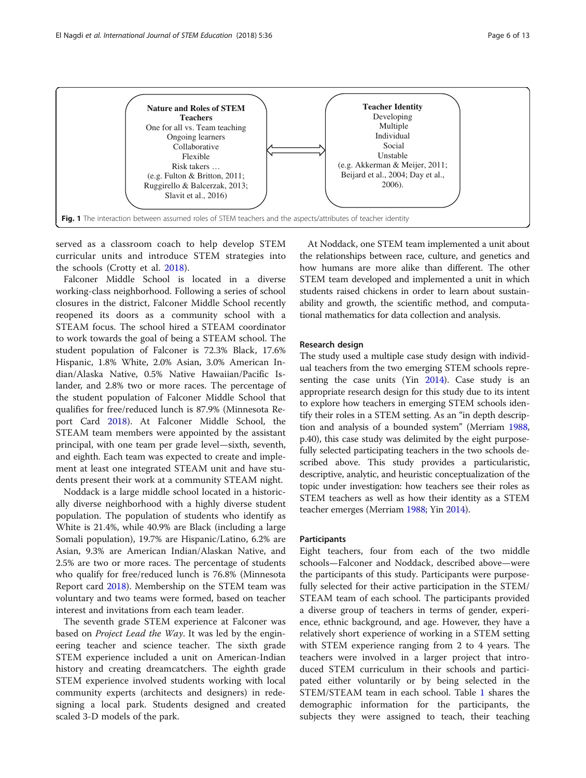<span id="page-5-0"></span>

served as a classroom coach to help develop STEM curricular units and introduce STEM strategies into the schools (Crotty et al. [2018](#page-11-0)).

Falconer Middle School is located in a diverse working-class neighborhood. Following a series of school closures in the district, Falconer Middle School recently reopened its doors as a community school with a STEAM focus. The school hired a STEAM coordinator to work towards the goal of being a STEAM school. The student population of Falconer is 72.3% Black, 17.6% Hispanic, 1.8% White, 2.0% Asian, 3.0% American Indian/Alaska Native, 0.5% Native Hawaiian/Pacific Islander, and 2.8% two or more races. The percentage of the student population of Falconer Middle School that qualifies for free/reduced lunch is 87.9% (Minnesota Report Card [2018](#page-11-0)). At Falconer Middle School, the STEAM team members were appointed by the assistant principal, with one team per grade level—sixth, seventh, and eighth. Each team was expected to create and implement at least one integrated STEAM unit and have students present their work at a community STEAM night.

Noddack is a large middle school located in a historically diverse neighborhood with a highly diverse student population. The population of students who identify as White is 21.4%, while 40.9% are Black (including a large Somali population), 19.7% are Hispanic/Latino, 6.2% are Asian, 9.3% are American Indian/Alaskan Native, and 2.5% are two or more races. The percentage of students who qualify for free/reduced lunch is 76.8% (Minnesota Report card [2018](#page-11-0)). Membership on the STEM team was voluntary and two teams were formed, based on teacher interest and invitations from each team leader.

The seventh grade STEM experience at Falconer was based on Project Lead the Way. It was led by the engineering teacher and science teacher. The sixth grade STEM experience included a unit on American-Indian history and creating dreamcatchers. The eighth grade STEM experience involved students working with local community experts (architects and designers) in redesigning a local park. Students designed and created scaled 3-D models of the park.

At Noddack, one STEM team implemented a unit about the relationships between race, culture, and genetics and how humans are more alike than different. The other STEM team developed and implemented a unit in which students raised chickens in order to learn about sustainability and growth, the scientific method, and computational mathematics for data collection and analysis.

#### Research design

The study used a multiple case study design with individual teachers from the two emerging STEM schools representing the case units (Yin [2014](#page-12-0)). Case study is an appropriate research design for this study due to its intent to explore how teachers in emerging STEM schools identify their roles in a STEM setting. As an "in depth description and analysis of a bounded system" (Merriam [1988](#page-11-0), p.40), this case study was delimited by the eight purposefully selected participating teachers in the two schools described above. This study provides a particularistic, descriptive, analytic, and heuristic conceptualization of the topic under investigation: how teachers see their roles as STEM teachers as well as how their identity as a STEM teacher emerges (Merriam [1988](#page-11-0); Yin [2014\)](#page-12-0).

## Participants

Eight teachers, four from each of the two middle schools—Falconer and Noddack, described above—were the participants of this study. Participants were purposefully selected for their active participation in the STEM/ STEAM team of each school. The participants provided a diverse group of teachers in terms of gender, experience, ethnic background, and age. However, they have a relatively short experience of working in a STEM setting with STEM experience ranging from 2 to 4 years. The teachers were involved in a larger project that introduced STEM curriculum in their schools and participated either voluntarily or by being selected in the STEM/STEAM team in each school. Table [1](#page-6-0) shares the demographic information for the participants, the subjects they were assigned to teach, their teaching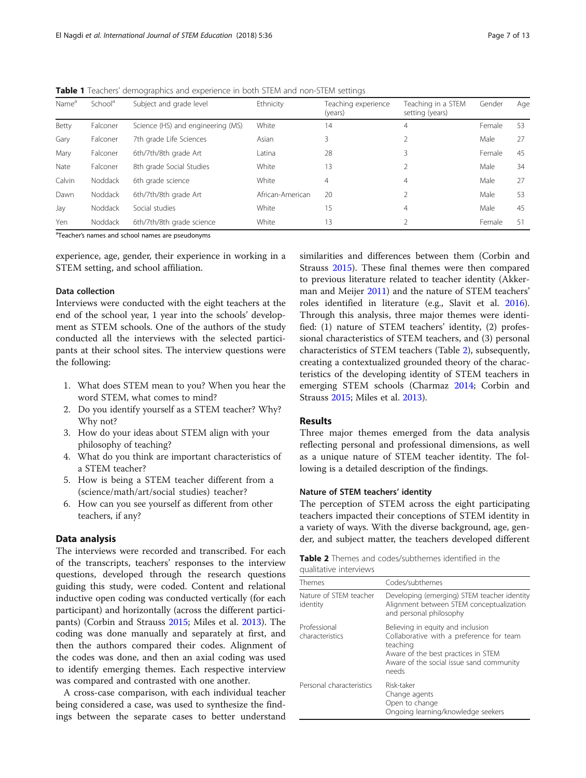| Name <sup>a</sup> | School <sup>a</sup> | Subject and grade level           | Ethnicity        | Teaching experience<br>(years) | Teaching in a STEM<br>setting (years) | Gender | Age |
|-------------------|---------------------|-----------------------------------|------------------|--------------------------------|---------------------------------------|--------|-----|
| Betty             | Falconer            | Science (HS) and engineering (MS) | White            | 14                             | 4                                     | Female | 53  |
| Gary              | Falconer            | 7th grade Life Sciences           | Asian            | 3                              |                                       | Male   | 27  |
| Mary              | Falconer            | 6th/7th/8th grade Art             | Latina           | 28                             |                                       | Female | 45  |
| Nate              | Falconer            | 8th grade Social Studies          | White            | 13                             |                                       | Male   | 34  |
| Calvin            | Noddack             | 6th grade science                 | White            | 4                              | 4                                     | Male   | 27  |
| Dawn              | Noddack             | 6th/7th/8th grade Art             | African-American | 20                             |                                       | Male   | 53  |
| Jay               | Noddack             | Social studies                    | White            | 15                             | 4                                     | Male   | 45  |
| Yen               | Noddack             | 6th/7th/8th grade science         | White            | 13                             |                                       | Female | 51  |

<span id="page-6-0"></span>Table 1 Teachers' demographics and experience in both STEM and non-STEM settings

<sup>a</sup>Teacher's names and school names are pseudonyms

experience, age, gender, their experience in working in a STEM setting, and school affiliation.

## Data collection

Interviews were conducted with the eight teachers at the end of the school year, 1 year into the schools' development as STEM schools. One of the authors of the study conducted all the interviews with the selected participants at their school sites. The interview questions were the following:

- 1. What does STEM mean to you? When you hear the word STEM, what comes to mind?
- 2. Do you identify yourself as a STEM teacher? Why? Why not?
- 3. How do your ideas about STEM align with your philosophy of teaching?
- 4. What do you think are important characteristics of a STEM teacher?
- 5. How is being a STEM teacher different from a (science/math/art/social studies) teacher?
- 6. How can you see yourself as different from other teachers, if any?

## Data analysis

The interviews were recorded and transcribed. For each of the transcripts, teachers' responses to the interview questions, developed through the research questions guiding this study, were coded. Content and relational inductive open coding was conducted vertically (for each participant) and horizontally (across the different participants) (Corbin and Strauss [2015](#page-11-0); Miles et al. [2013\)](#page-11-0). The coding was done manually and separately at first, and then the authors compared their codes. Alignment of the codes was done, and then an axial coding was used to identify emerging themes. Each respective interview was compared and contrasted with one another.

A cross-case comparison, with each individual teacher being considered a case, was used to synthesize the findings between the separate cases to better understand

similarities and differences between them (Corbin and Strauss [2015\)](#page-11-0). These final themes were then compared to previous literature related to teacher identity (Akkerman and Meijer [2011](#page-11-0)) and the nature of STEM teachers' roles identified in literature (e.g., Slavit et al. [2016](#page-12-0)). Through this analysis, three major themes were identified: (1) nature of STEM teachers' identity, (2) professional characteristics of STEM teachers, and (3) personal characteristics of STEM teachers (Table 2), subsequently, creating a contextualized grounded theory of the characteristics of the developing identity of STEM teachers in emerging STEM schools (Charmaz [2014;](#page-11-0) Corbin and Strauss [2015](#page-11-0); Miles et al. [2013](#page-11-0)).

## Results

Three major themes emerged from the data analysis reflecting personal and professional dimensions, as well as a unique nature of STEM teacher identity. The following is a detailed description of the findings.

## Nature of STEM teachers' identity

The perception of STEM across the eight participating teachers impacted their conceptions of STEM identity in a variety of ways. With the diverse background, age, gender, and subject matter, the teachers developed different

| <b>Table 2</b> Themes and codes/subthemes identified in the |  |  |  |  |  |  |
|-------------------------------------------------------------|--|--|--|--|--|--|
| qualitative interviews                                      |  |  |  |  |  |  |

| Themes                             | Codes/subthemes                                                                                                                                                                       |  |  |  |
|------------------------------------|---------------------------------------------------------------------------------------------------------------------------------------------------------------------------------------|--|--|--|
| Nature of STEM teacher<br>identity | Developing (emerging) STEM teacher identity<br>Alignment between STEM conceptualization<br>and personal philosophy                                                                    |  |  |  |
| Professional<br>characteristics    | Believing in equity and inclusion<br>Collaborative with a preference for team<br>teaching<br>Aware of the best practices in STEM<br>Aware of the social issue sand community<br>needs |  |  |  |
| Personal characteristics           | Risk-taker<br>Change agents<br>Open to change<br>Ongoing learning/knowledge seekers                                                                                                   |  |  |  |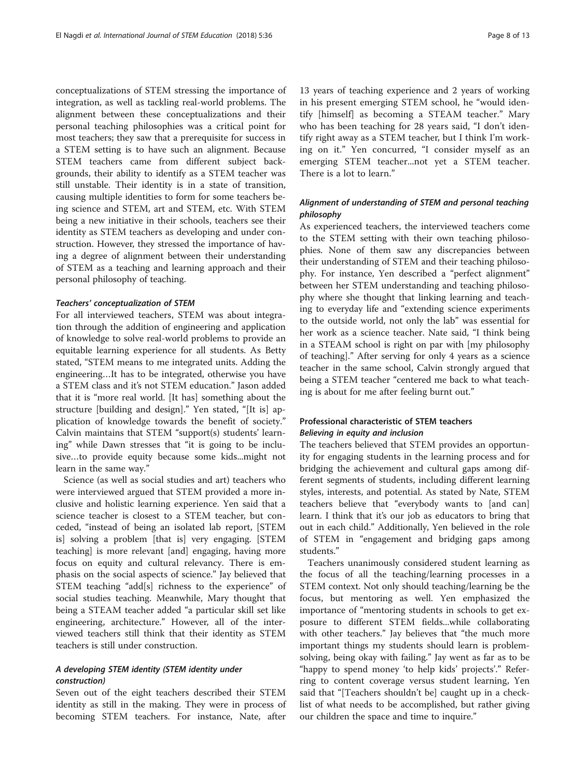conceptualizations of STEM stressing the importance of integration, as well as tackling real-world problems. The alignment between these conceptualizations and their personal teaching philosophies was a critical point for most teachers; they saw that a prerequisite for success in a STEM setting is to have such an alignment. Because STEM teachers came from different subject backgrounds, their ability to identify as a STEM teacher was still unstable. Their identity is in a state of transition, causing multiple identities to form for some teachers being science and STEM, art and STEM, etc. With STEM being a new initiative in their schools, teachers see their identity as STEM teachers as developing and under construction. However, they stressed the importance of having a degree of alignment between their understanding of STEM as a teaching and learning approach and their personal philosophy of teaching.

## Teachers' conceptualization of STEM

For all interviewed teachers, STEM was about integration through the addition of engineering and application of knowledge to solve real-world problems to provide an equitable learning experience for all students. As Betty stated, "STEM means to me integrated units. Adding the engineering…It has to be integrated, otherwise you have a STEM class and it's not STEM education." Jason added that it is "more real world. [It has] something about the structure [building and design]." Yen stated, "[It is] application of knowledge towards the benefit of society." Calvin maintains that STEM "support(s) students' learning" while Dawn stresses that "it is going to be inclusive…to provide equity because some kids...might not learn in the same way."

Science (as well as social studies and art) teachers who were interviewed argued that STEM provided a more inclusive and holistic learning experience. Yen said that a science teacher is closest to a STEM teacher, but conceded, "instead of being an isolated lab report, [STEM is] solving a problem [that is] very engaging. [STEM teaching] is more relevant [and] engaging, having more focus on equity and cultural relevancy. There is emphasis on the social aspects of science." Jay believed that STEM teaching "add[s] richness to the experience" of social studies teaching. Meanwhile, Mary thought that being a STEAM teacher added "a particular skill set like engineering, architecture." However, all of the interviewed teachers still think that their identity as STEM teachers is still under construction.

## A developing STEM identity (STEM identity under construction)

Seven out of the eight teachers described their STEM identity as still in the making. They were in process of becoming STEM teachers. For instance, Nate, after

13 years of teaching experience and 2 years of working in his present emerging STEM school, he "would identify [himself] as becoming a STEAM teacher." Mary who has been teaching for 28 years said, "I don't identify right away as a STEM teacher, but I think I'm working on it." Yen concurred, "I consider myself as an emerging STEM teacher...not yet a STEM teacher. There is a lot to learn."

## Alignment of understanding of STEM and personal teaching philosophy

As experienced teachers, the interviewed teachers come to the STEM setting with their own teaching philosophies. None of them saw any discrepancies between their understanding of STEM and their teaching philosophy. For instance, Yen described a "perfect alignment" between her STEM understanding and teaching philosophy where she thought that linking learning and teaching to everyday life and "extending science experiments to the outside world, not only the lab" was essential for her work as a science teacher. Nate said, "I think being in a STEAM school is right on par with [my philosophy of teaching]." After serving for only 4 years as a science teacher in the same school, Calvin strongly argued that being a STEM teacher "centered me back to what teaching is about for me after feeling burnt out."

## Professional characteristic of STEM teachers Believing in equity and inclusion

The teachers believed that STEM provides an opportunity for engaging students in the learning process and for bridging the achievement and cultural gaps among different segments of students, including different learning styles, interests, and potential. As stated by Nate, STEM teachers believe that "everybody wants to [and can] learn. I think that it's our job as educators to bring that out in each child." Additionally, Yen believed in the role of STEM in "engagement and bridging gaps among students."

Teachers unanimously considered student learning as the focus of all the teaching/learning processes in a STEM context. Not only should teaching/learning be the focus, but mentoring as well. Yen emphasized the importance of "mentoring students in schools to get exposure to different STEM fields...while collaborating with other teachers." Jay believes that "the much more important things my students should learn is problemsolving, being okay with failing." Jay went as far as to be "happy to spend money 'to help kids' projects'." Referring to content coverage versus student learning, Yen said that "[Teachers shouldn't be] caught up in a checklist of what needs to be accomplished, but rather giving our children the space and time to inquire."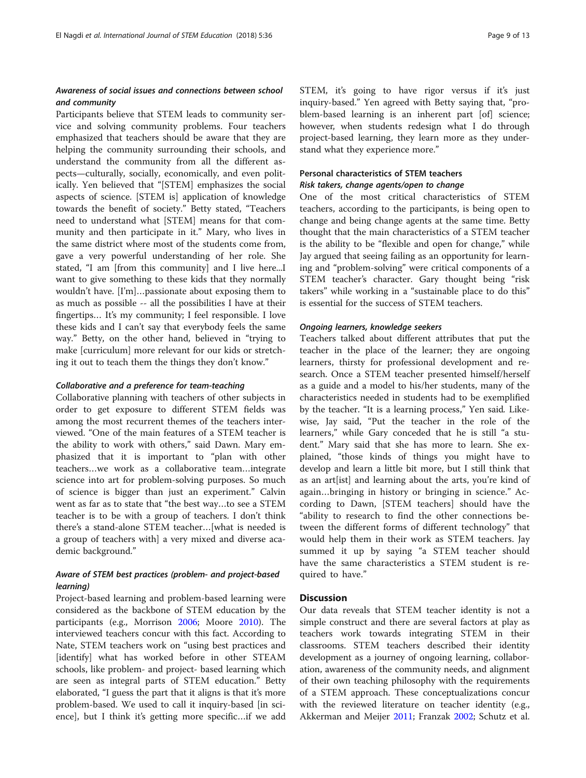## Awareness of social issues and connections between school and community

Participants believe that STEM leads to community service and solving community problems. Four teachers emphasized that teachers should be aware that they are helping the community surrounding their schools, and understand the community from all the different aspects—culturally, socially, economically, and even politically. Yen believed that "[STEM] emphasizes the social aspects of science. [STEM is] application of knowledge towards the benefit of society." Betty stated, "Teachers need to understand what [STEM] means for that community and then participate in it." Mary, who lives in the same district where most of the students come from, gave a very powerful understanding of her role. She stated, "I am [from this community] and I live here...I want to give something to these kids that they normally wouldn't have. [I'm]…passionate about exposing them to as much as possible -- all the possibilities I have at their fingertips… It's my community; I feel responsible. I love these kids and I can't say that everybody feels the same way." Betty, on the other hand, believed in "trying to make [curriculum] more relevant for our kids or stretching it out to teach them the things they don't know."

## Collaborative and a preference for team-teaching

Collaborative planning with teachers of other subjects in order to get exposure to different STEM fields was among the most recurrent themes of the teachers interviewed. "One of the main features of a STEM teacher is the ability to work with others," said Dawn. Mary emphasized that it is important to "plan with other teachers…we work as a collaborative team…integrate science into art for problem-solving purposes. So much of science is bigger than just an experiment." Calvin went as far as to state that "the best way…to see a STEM teacher is to be with a group of teachers. I don't think there's a stand-alone STEM teacher…[what is needed is a group of teachers with] a very mixed and diverse academic background."

## Aware of STEM best practices (problem- and project-based learning)

Project-based learning and problem-based learning were considered as the backbone of STEM education by the participants (e.g., Morrison [2006;](#page-11-0) Moore [2010\)](#page-11-0). The interviewed teachers concur with this fact. According to Nate, STEM teachers work on "using best practices and [identify] what has worked before in other STEAM schools, like problem- and project- based learning which are seen as integral parts of STEM education." Betty elaborated, "I guess the part that it aligns is that it's more problem-based. We used to call it inquiry-based [in science], but I think it's getting more specific…if we add STEM, it's going to have rigor versus if it's just inquiry-based." Yen agreed with Betty saying that, "problem-based learning is an inherent part [of] science; however, when students redesign what I do through project-based learning, they learn more as they understand what they experience more."

# Personal characteristics of STEM teachers

Risk takers, change agents/open to change

One of the most critical characteristics of STEM teachers, according to the participants, is being open to change and being change agents at the same time. Betty thought that the main characteristics of a STEM teacher is the ability to be "flexible and open for change," while Jay argued that seeing failing as an opportunity for learning and "problem-solving" were critical components of a STEM teacher's character. Gary thought being "risk takers" while working in a "sustainable place to do this" is essential for the success of STEM teachers.

## Ongoing learners, knowledge seekers

Teachers talked about different attributes that put the teacher in the place of the learner; they are ongoing learners, thirsty for professional development and research. Once a STEM teacher presented himself/herself as a guide and a model to his/her students, many of the characteristics needed in students had to be exemplified by the teacher. "It is a learning process," Yen said. Likewise, Jay said, "Put the teacher in the role of the learners," while Gary conceded that he is still "a student." Mary said that she has more to learn. She explained, "those kinds of things you might have to develop and learn a little bit more, but I still think that as an art[ist] and learning about the arts, you're kind of again…bringing in history or bringing in science." According to Dawn, [STEM teachers] should have the "ability to research to find the other connections between the different forms of different technology" that would help them in their work as STEM teachers. Jay summed it up by saying "a STEM teacher should have the same characteristics a STEM student is required to have."

## **Discussion**

Our data reveals that STEM teacher identity is not a simple construct and there are several factors at play as teachers work towards integrating STEM in their classrooms. STEM teachers described their identity development as a journey of ongoing learning, collaboration, awareness of the community needs, and alignment of their own teaching philosophy with the requirements of a STEM approach. These conceptualizations concur with the reviewed literature on teacher identity (e.g., Akkerman and Meijer [2011;](#page-11-0) Franzak [2002](#page-11-0); Schutz et al.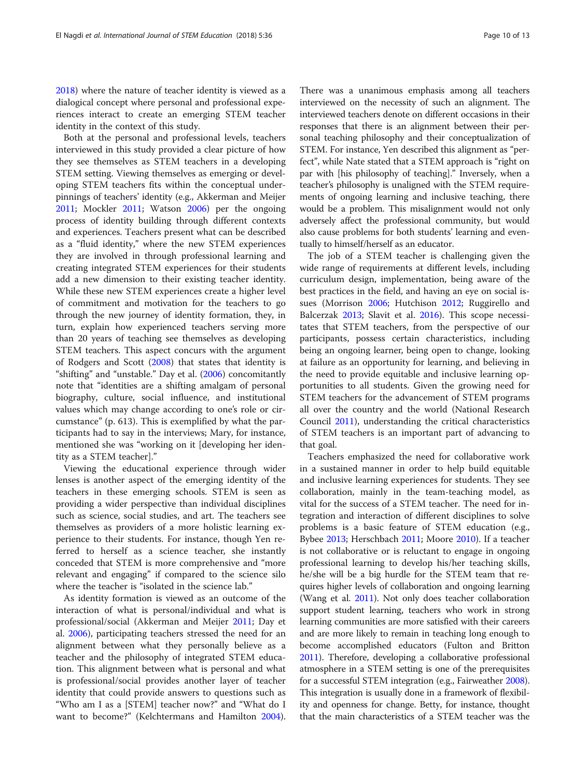[2018](#page-12-0)) where the nature of teacher identity is viewed as a dialogical concept where personal and professional experiences interact to create an emerging STEM teacher identity in the context of this study.

Both at the personal and professional levels, teachers interviewed in this study provided a clear picture of how they see themselves as STEM teachers in a developing STEM setting. Viewing themselves as emerging or developing STEM teachers fits within the conceptual underpinnings of teachers' identity (e.g., Akkerman and Meijer [2011](#page-11-0); Mockler [2011](#page-11-0); Watson [2006](#page-12-0)) per the ongoing process of identity building through different contexts and experiences. Teachers present what can be described as a "fluid identity," where the new STEM experiences they are involved in through professional learning and creating integrated STEM experiences for their students add a new dimension to their existing teacher identity. While these new STEM experiences create a higher level of commitment and motivation for the teachers to go through the new journey of identity formation, they, in turn, explain how experienced teachers serving more than 20 years of teaching see themselves as developing STEM teachers. This aspect concurs with the argument of Rodgers and Scott [\(2008\)](#page-12-0) that states that identity is "shifting" and "unstable." Day et al. [\(2006](#page-11-0)) concomitantly note that "identities are a shifting amalgam of personal biography, culture, social influence, and institutional values which may change according to one's role or circumstance" (p. 613). This is exemplified by what the participants had to say in the interviews; Mary, for instance, mentioned she was "working on it [developing her identity as a STEM teacher]."

Viewing the educational experience through wider lenses is another aspect of the emerging identity of the teachers in these emerging schools. STEM is seen as providing a wider perspective than individual disciplines such as science, social studies, and art. The teachers see themselves as providers of a more holistic learning experience to their students. For instance, though Yen referred to herself as a science teacher, she instantly conceded that STEM is more comprehensive and "more relevant and engaging" if compared to the science silo where the teacher is "isolated in the science lab."

As identity formation is viewed as an outcome of the interaction of what is personal/individual and what is professional/social (Akkerman and Meijer [2011](#page-11-0); Day et al. [2006](#page-11-0)), participating teachers stressed the need for an alignment between what they personally believe as a teacher and the philosophy of integrated STEM education. This alignment between what is personal and what is professional/social provides another layer of teacher identity that could provide answers to questions such as "Who am I as a [STEM] teacher now?" and "What do I want to become?" (Kelchtermans and Hamilton [2004](#page-11-0)).

There was a unanimous emphasis among all teachers interviewed on the necessity of such an alignment. The interviewed teachers denote on different occasions in their responses that there is an alignment between their personal teaching philosophy and their conceptualization of STEM. For instance, Yen described this alignment as "perfect", while Nate stated that a STEM approach is "right on par with [his philosophy of teaching]." Inversely, when a teacher's philosophy is unaligned with the STEM requirements of ongoing learning and inclusive teaching, there would be a problem. This misalignment would not only adversely affect the professional community, but would also cause problems for both students' learning and eventually to himself/herself as an educator.

The job of a STEM teacher is challenging given the wide range of requirements at different levels, including curriculum design, implementation, being aware of the best practices in the field, and having an eye on social issues (Morrison [2006;](#page-11-0) Hutchison [2012](#page-11-0); Ruggirello and Balcerzak [2013;](#page-12-0) Slavit et al. [2016](#page-12-0)). This scope necessitates that STEM teachers, from the perspective of our participants, possess certain characteristics, including being an ongoing learner, being open to change, looking at failure as an opportunity for learning, and believing in the need to provide equitable and inclusive learning opportunities to all students. Given the growing need for STEM teachers for the advancement of STEM programs all over the country and the world (National Research Council [2011](#page-11-0)), understanding the critical characteristics of STEM teachers is an important part of advancing to that goal.

Teachers emphasized the need for collaborative work in a sustained manner in order to help build equitable and inclusive learning experiences for students. They see collaboration, mainly in the team-teaching model, as vital for the success of a STEM teacher. The need for integration and interaction of different disciplines to solve problems is a basic feature of STEM education (e.g., Bybee [2013;](#page-11-0) Herschbach [2011](#page-11-0); Moore [2010\)](#page-11-0). If a teacher is not collaborative or is reluctant to engage in ongoing professional learning to develop his/her teaching skills, he/she will be a big hurdle for the STEM team that requires higher levels of collaboration and ongoing learning (Wang et al. [2011](#page-12-0)). Not only does teacher collaboration support student learning, teachers who work in strong learning communities are more satisfied with their careers and are more likely to remain in teaching long enough to become accomplished educators (Fulton and Britton [2011\)](#page-11-0). Therefore, developing a collaborative professional atmosphere in a STEM setting is one of the prerequisites for a successful STEM integration (e.g., Fairweather [2008](#page-11-0)). This integration is usually done in a framework of flexibility and openness for change. Betty, for instance, thought that the main characteristics of a STEM teacher was the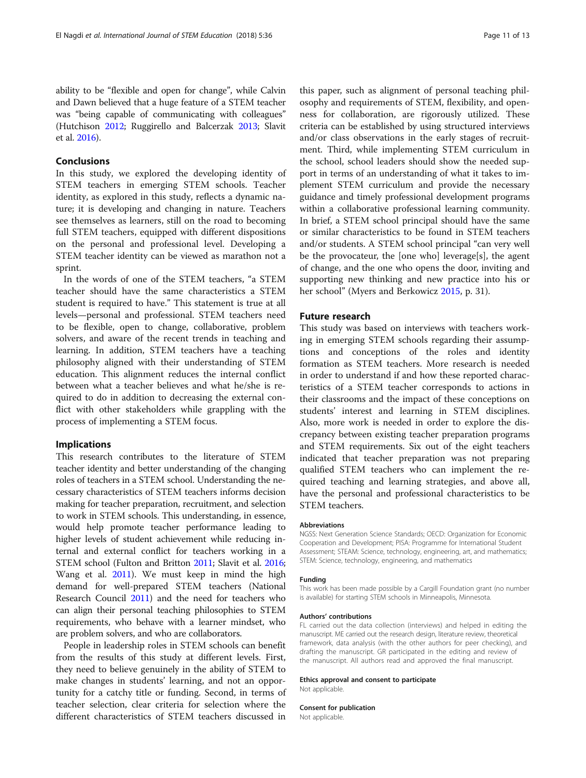ability to be "flexible and open for change", while Calvin and Dawn believed that a huge feature of a STEM teacher was "being capable of communicating with colleagues" (Hutchison [2012](#page-11-0); Ruggirello and Balcerzak [2013;](#page-12-0) Slavit et al. [2016](#page-12-0)).

## Conclusions

In this study, we explored the developing identity of STEM teachers in emerging STEM schools. Teacher identity, as explored in this study, reflects a dynamic nature; it is developing and changing in nature. Teachers see themselves as learners, still on the road to becoming full STEM teachers, equipped with different dispositions on the personal and professional level. Developing a STEM teacher identity can be viewed as marathon not a sprint.

In the words of one of the STEM teachers, "a STEM teacher should have the same characteristics a STEM student is required to have." This statement is true at all levels—personal and professional. STEM teachers need to be flexible, open to change, collaborative, problem solvers, and aware of the recent trends in teaching and learning. In addition, STEM teachers have a teaching philosophy aligned with their understanding of STEM education. This alignment reduces the internal conflict between what a teacher believes and what he/she is required to do in addition to decreasing the external conflict with other stakeholders while grappling with the process of implementing a STEM focus.

## Implications

This research contributes to the literature of STEM teacher identity and better understanding of the changing roles of teachers in a STEM school. Understanding the necessary characteristics of STEM teachers informs decision making for teacher preparation, recruitment, and selection to work in STEM schools. This understanding, in essence, would help promote teacher performance leading to higher levels of student achievement while reducing internal and external conflict for teachers working in a STEM school (Fulton and Britton [2011](#page-11-0); Slavit et al. [2016](#page-12-0); Wang et al. [2011](#page-12-0)). We must keep in mind the high demand for well-prepared STEM teachers (National Research Council [2011](#page-11-0)) and the need for teachers who can align their personal teaching philosophies to STEM requirements, who behave with a learner mindset, who are problem solvers, and who are collaborators.

People in leadership roles in STEM schools can benefit from the results of this study at different levels. First, they need to believe genuinely in the ability of STEM to make changes in students' learning, and not an opportunity for a catchy title or funding. Second, in terms of teacher selection, clear criteria for selection where the different characteristics of STEM teachers discussed in

this paper, such as alignment of personal teaching philosophy and requirements of STEM, flexibility, and openness for collaboration, are rigorously utilized. These criteria can be established by using structured interviews and/or class observations in the early stages of recruitment. Third, while implementing STEM curriculum in the school, school leaders should show the needed support in terms of an understanding of what it takes to implement STEM curriculum and provide the necessary guidance and timely professional development programs within a collaborative professional learning community. In brief, a STEM school principal should have the same or similar characteristics to be found in STEM teachers and/or students. A STEM school principal "can very well be the provocateur, the [one who] leverage[s], the agent of change, and the one who opens the door, inviting and supporting new thinking and new practice into his or her school" (Myers and Berkowicz [2015,](#page-11-0) p. 31).

## Future research

This study was based on interviews with teachers working in emerging STEM schools regarding their assumptions and conceptions of the roles and identity formation as STEM teachers. More research is needed in order to understand if and how these reported characteristics of a STEM teacher corresponds to actions in their classrooms and the impact of these conceptions on students' interest and learning in STEM disciplines. Also, more work is needed in order to explore the discrepancy between existing teacher preparation programs and STEM requirements. Six out of the eight teachers indicated that teacher preparation was not preparing qualified STEM teachers who can implement the required teaching and learning strategies, and above all, have the personal and professional characteristics to be STEM teachers.

#### Abbreviations

NGSS: Next Generation Science Standards; OECD: Organization for Economic Cooperation and Development; PISA: Programme for International Student Assessment; STEAM: Science, technology, engineering, art, and mathematics; STEM: Science, technology, engineering, and mathematics

#### Funding

This work has been made possible by a Cargill Foundation grant (no number is available) for starting STEM schools in Minneapolis, Minnesota.

#### Authors' contributions

FL carried out the data collection (interviews) and helped in editing the manuscript. ME carried out the research design, literature review, theoretical framework, data analysis (with the other authors for peer checking), and drafting the manuscript. GR participated in the editing and review of the manuscript. All authors read and approved the final manuscript.

#### Ethics approval and consent to participate

Not applicable.

Consent for publication

Not applicable.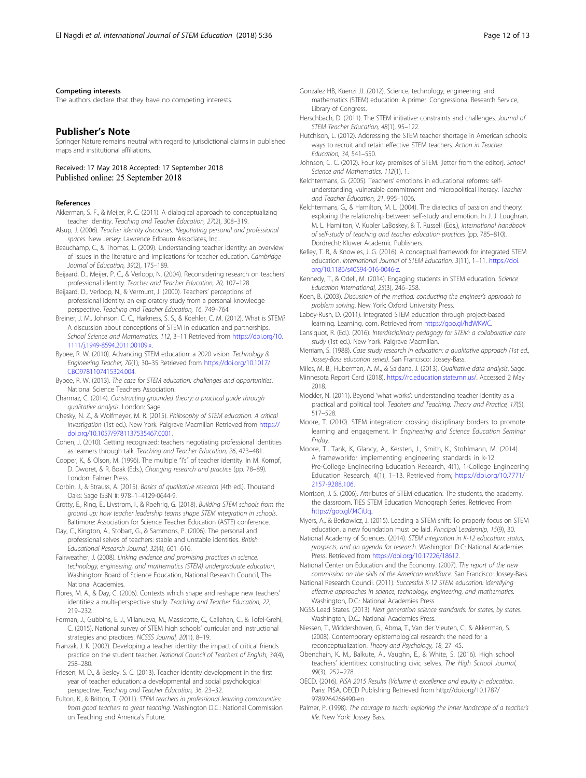#### <span id="page-11-0"></span>Competing interests

The authors declare that they have no competing interests.

#### Publisher's Note

Springer Nature remains neutral with regard to jurisdictional claims in published maps and institutional affiliations.

Received: 17 May 2018 Accepted: 17 September 2018 Published online: 25 September 2018

#### References

- Akkerman, S. F., & Meijer, P. C. (2011). A dialogical approach to conceptualizing teacher identity. Teaching and Teacher Education, 27(2), 308–319.
- Alsup, J. (2006). Teacher identity discourses. Negotiating personal and professional spaces. New Jersey: Lawrence Erlbaum Associates, Inc..
- Beauchamp, C., & Thomas, L. (2009). Understanding teacher identity: an overview of issues in the literature and implications for teacher education. Cambridge Journal of Education, 39(2), 175–189.
- Beijaard, D., Meijer, P. C., & Verloop, N. (2004). Reconsidering research on teachers' professional identity. Teacher and Teacher Education, 20, 107–128.
- Beijaard, D., Verloop, N., & Vermunt, J. (2000). Teachers' perceptions of professional identity: an exploratory study from a personal knowledge perspective. Teaching and Teacher Education, 16, 749–764.
- Breiner, J. M., Johnson, C. C., Harkness, S. S., & Koehler, C. M. (2012). What is STEM? A discussion about conceptions of STEM in education and partnerships. School Science and Mathematics, 112, 3–11 Retrieved from [https://doi.org/10.](https://doi.org/10.1111/j.1949-8594.2011.00109.x) [1111/j.1949-8594.2011.00109.x](https://doi.org/10.1111/j.1949-8594.2011.00109.x).
- Bybee, R. W. (2010). Advancing STEM education: a 2020 vision. Technology & Engineering Teacher, 70(1), 30–35 Retrieved from [https://doi.org/10.1017/](https://doi.org/10.1017/CBO9781107415324.004) [CBO9781107415324.004.](https://doi.org/10.1017/CBO9781107415324.004)
- Bybee, R. W. (2013). The case for STEM education: challenges and opportunities. National Science Teachers Association.
- Charmaz, C. (2014). Constructing grounded theory: a practical guide through qualitative analysis. London: Sage.
- Chesky, N. Z., & Wolfmeyer, M. R. (2015). Philosophy of STEM education. A critical investigation (1st ed.). New York: Palgrave Macmillan Retrieved from [https://](https://doi.org/10.1057/9781137535467.0001) [doi.org/10.1057/9781137535467.0001.](https://doi.org/10.1057/9781137535467.0001)
- Cohen, J. (2010). Getting recognized: teachers negotiating professional identities as learners through talk. Teaching and Teacher Education, 26, 473–481.
- Cooper, K., & Olson, M. (1996). The multiple "I's" of teacher identity. In M. Kompf, D. Dworet, & R. Boak (Eds.), Changing research and practice (pp. 78–89). London: Falmer Press.
- Corbin, J., & Strauss, A. (2015). Basics of qualitative research (4th ed.). Thousand Oaks: Sage ISBN #: 978–1–4129-0644-9.
- Crotty, E., Ring, E., Livstrom, I., & Roehrig, G. (2018). Building STEM schools from the ground up: how teacher leadership teams shape STEM integration in schools. Baltimore: Association for Science Teacher Education (ASTE) conference.
- Day, C., Kington, A., Stobart, G., & Sammons, P. (2006). The personal and professional selves of teachers: stable and unstable identities. British Educational Research Journal, 32(4), 601–616.
- Fairweather, J. (2008). Linking evidence and promising practices in science, technology, engineering, and mathematics (STEM) undergraduate education. Washington: Board of Science Education, National Research Council, The National Academies.
- Flores, M. A., & Day, C. (2006). Contexts which shape and reshape new teachers' identities: a multi-perspective study. Teaching and Teacher Education, 22, 219–232.
- Forman, J., Gubbins, E. J., Villanueva, M., Massicotte, C., Callahan, C., & Tofel-Grehl, C. (2015). National survey of STEM high schools' curricular and instructional strategies and practices. NCSSS Journal, 20(1), 8–19.
- Franzak, J. K. (2002). Developing a teacher identity: the impact of critical friends practice on the student teacher. National Council of Teachers of English, 34(4), 258–280.
- Friesen, M. D., & Besley, S. C. (2013). Teacher identity development in the first year of teacher education: a developmental and social psychological perspective. Teaching and Teacher Education, 36, 23–32.
- Fulton, K., & Britton, T. (2011). STEM teachers in professional learning communities: from good teachers to great teaching. Washington D.C.: National Commission on Teaching and America's Future.
- Gonzalez HB, Kuenzi JJ. (2012). Science, technology, engineering, and mathematics (STEM) education: A primer. Congressional Research Service, Library of Congress.
- Herschbach, D. (2011). The STEM initiative: constraints and challenges. Journal of STEM Teacher Education, 48(1), 95–122.
- Hutchison, L. (2012). Addressing the STEM teacher shortage in American schools: ways to recruit and retain effective STEM teachers. Action in Teacher Education, 34, 541–550.
- Johnson, C. C. (2012). Four key premises of STEM. [letter from the editor]. School Science and Mathematics, 112(1), 1.
- Kelchtermans, G. (2005). Teachers' emotions in educational reforms: selfunderstanding, vulnerable commitment and micropolitical literacy. Teacher and Teacher Education, 21, 995–1006.
- Kelchtermans, G., & Hamilton, M. L. (2004). The dialectics of passion and theory: exploring the relationship between self-study and emotion. In J. J. Loughran, M. L. Hamilton, V. Kubler LaBoskey, & T. Russell (Eds.), International handbook of self-study of teaching and teacher education practices (pp. 785–810). Dordrecht: Kluwer Academic Publishers.
- Kelley, T. R., & Knowles, J. G. (2016). A conceptual framework for integrated STEM education. International Journal of STEM Education, 3(11), 1-11. [https://doi.](https://doi.org/10.1186/s40594-016-0046-z) [org/10.1186/s40594-016-0046-z.](https://doi.org/10.1186/s40594-016-0046-z)
- Kennedy, T., & Odell, M. (2014). Engaging students in STEM education. Science Education International, 25(3), 246–258.
- Koen, B. (2003). Discussion of the method: conducting the engineer's approach to problem solving. New York: Oxford University Press.
- Laboy-Rush, D. (2011). Integrated STEM education through project-based learning. Learning. com. Retrieved from <https://goo.gl/hdWKWC>.
- Lansiquot, R. (Ed.). (2016). Interdisciplinary pedagogy for STEM: a collaborative case study (1st ed.). New York: Palgrave Macmillan.
- Merriam, S. (1988). Case study research in education: a qualitative approach (1st ed., Jossey-Bass education series). San Francisco: Jossey-Bass.
- Miles, M. B., Huberman, A. M., & Saldana, J. (2013). Qualitative data analysis. Sage. Minnesota Report Card (2018). <https://rc.education.state.mn.us/>. Accessed 2 May 2018.
- Mockler, N. (2011). Beyond 'what works': understanding teacher identity as a practical and political tool. Teachers and Teaching: Theory and Practice, 17(5), 517–528.
- Moore, T. (2010). STEM integration: crossing disciplinary borders to promote learning and engagement. In Engineering and Science Education Seminar **Friday**
- Moore, T., Tank, K, Glancy, A., Kersten, J., Smith, K., Stohlmann, M. (2014). A frameworkfor implementing engineering standards in k-12. Pre-College Engineering Education Research, 4(1), 1-College Engineering Education Research, 4(1), 1–13. Retrieved from; [https://doi.org/10.7771/](https://doi.org/10.7771/2157-9288.106) [2157-9288.106](https://doi.org/10.7771/2157-9288.106).
- Morrison, J. S. (2006). Attributes of STEM education: The students, the academy, the classroom. TIES STEM Education Monograph Series. Retrieved From <https://goo.gl/J4CiUq>.
- Myers, A., & Berkowicz, J. (2015). Leading a STEM shift: To properly focus on STEM education, a new foundation must be laid. Principal Leadership, 15(9), 30.
- National Academy of Sciences. (2014). STEM integration in K-12 education: status, prospects, and an agenda for research. Washington D.C: National Academies Press. Retrieved from <https://doi.org/10.17226/18612>.
- National Center on Education and the Economy. (2007). The report of the new commission on the skills of the American workforce. San Francisco: Jossey-Bass.
- National Research Council. (2011). Successful K-12 STEM education: identifying effective approaches in science, technology, engineering, and mathematics. Washington, D.C.: National Academies Press.
- NGSS Lead States. (2013). Next generation science standards: for states, by states. Washington, D.C.: National Academies Press.
- Niessen, T., Widdershoven, G., Abma, T., Van der Vleuten, C., & Akkerman, S. (2008). Contemporary epistemological research: the need for a reconceptualization. Theory and Psychology, 18, 27–45.
- Obenchain, K. M., Balkute, A., Vaughn, E., & White, S. (2016). High school teachers' identities: constructing civic selves. The High School Journal, 99(3), 252–278.
- OECD. (2016). PISA 2015 Results (Volume I): excellence and equity in education. Paris: PISA, OECD Publishing Retrieved from http://doi.org/10.1787/ 9789264266490-en.
- Palmer, P. (1998). The courage to teach: exploring the inner landscape of a teacher's life. New York: Jossey Bass.